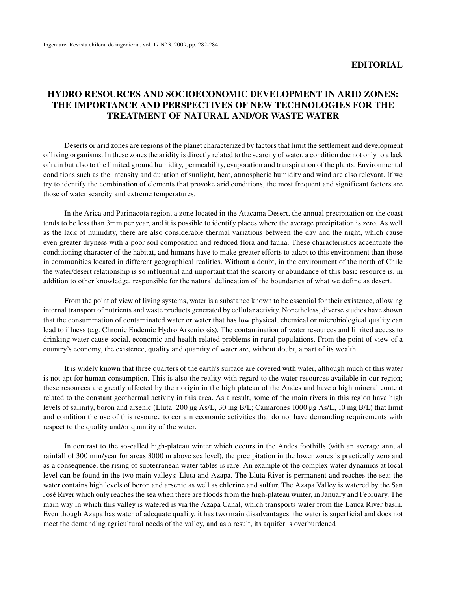## **EDITORIAL**

## **HYDRO RESOURCES AND SOCIOECONOMIC DEVELOPMENT IN ARID ZONES: THE IMPORTANCE AND PERSPECTIVES OF NEW TECHNOLOGIES FOR THE TREATMENT OF NATURAL AND/OR WASTE WATER**

Deserts or arid zones are regions of the planet characterized by factors that limit the settlement and development of living organisms. In these zones the aridity is directly related to the scarcity of water, a condition due not only to a lack of rain but also to the limited ground humidity, permeability, evaporation and transpiration of the plants. Environmental conditions such as the intensity and duration of sunlight, heat, atmospheric humidity and wind are also relevant. If we try to identify the combination of elements that provoke arid conditions, the most frequent and significant factors are those of water scarcity and extreme temperatures.

In the Arica and Parinacota region, a zone located in the Atacama Desert, the annual precipitation on the coast tends to be less than 3mm per year, and it is possible to identify places where the average precipitation is zero. As well as the lack of humidity, there are also considerable thermal variations between the day and the night, which cause even greater dryness with a poor soil composition and reduced flora and fauna. These characteristics accentuate the conditioning character of the habitat, and humans have to make greater efforts to adapt to this environment than those in communities located in different geographical realities. Without a doubt, in the environment of the north of Chile the water/desert relationship is so influential and important that the scarcity or abundance of this basic resource is, in addition to other knowledge, responsible for the natural delineation of the boundaries of what we define as desert.

From the point of view of living systems, water is a substance known to be essential for their existence, allowing internal transport of nutrients and waste products generated by cellular activity. Nonetheless, diverse studies have shown that the consummation of contaminated water or water that has low physical, chemical or microbiological quality can lead to illness (e.g. Chronic Endemic Hydro Arsenicosis). The contamination of water resources and limited access to drinking water cause social, economic and health-related problems in rural populations. From the point of view of a country's economy, the existence, quality and quantity of water are, without doubt, a part of its wealth.

It is widely known that three quarters of the earth's surface are covered with water, although much of this water is not apt for human consumption. This is also the reality with regard to the water resources available in our region; these resources are greatly affected by their origin in the high plateau of the Andes and have a high mineral content related to the constant geothermal activity in this area. As a result, some of the main rivers in this region have high levels of salinity, boron and arsenic (Lluta: 200 μg As/L, 30 mg B/L; Camarones 1000 μg As/L, 10 mg B/L) that limit and condition the use of this resource to certain economic activities that do not have demanding requirements with respect to the quality and/or quantity of the water.

In contrast to the so-called high-plateau winter which occurs in the Andes foothills (with an average annual rainfall of 300 mm/year for areas 3000 m above sea level), the precipitation in the lower zones is practically zero and as a consequence, the rising of subterranean water tables is rare. An example of the complex water dynamics at local level can be found in the two main valleys: Lluta and Azapa. The Lluta River is permanent and reaches the sea; the water contains high levels of boron and arsenic as well as chlorine and sulfur. The Azapa Valley is watered by the San José River which only reaches the sea when there are floods from the high-plateau winter, in January and February. The main way in which this valley is watered is via the Azapa Canal, which transports water from the Lauca River basin. Even though Azapa has water of adequate quality, it has two main disadvantages: the water is superficial and does not meet the demanding agricultural needs of the valley, and as a result, its aquifer is overburdened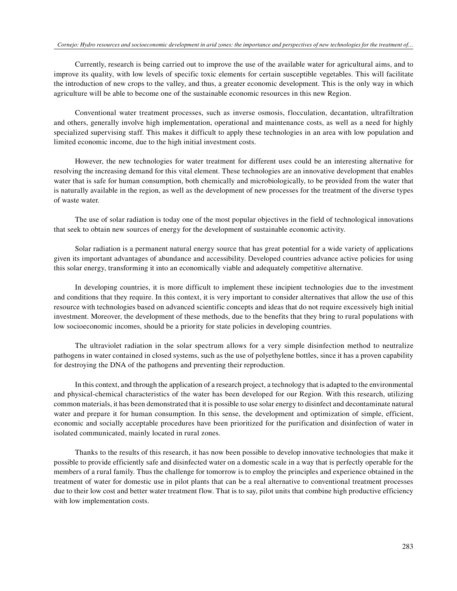Currently, research is being carried out to improve the use of the available water for agricultural aims, and to improve its quality, with low levels of specific toxic elements for certain susceptible vegetables. This will facilitate the introduction of new crops to the valley, and thus, a greater economic development. This is the only way in which agriculture will be able to become one of the sustainable economic resources in this new Region.

Conventional water treatment processes, such as inverse osmosis, flocculation, decantation, ultrafiltration and others, generally involve high implementation, operational and maintenance costs, as well as a need for highly specialized supervising staff. This makes it difficult to apply these technologies in an area with low population and limited economic income, due to the high initial investment costs.

However, the new technologies for water treatment for different uses could be an interesting alternative for resolving the increasing demand for this vital element. These technologies are an innovative development that enables water that is safe for human consumption, both chemically and microbiologically, to be provided from the water that is naturally available in the region, as well as the development of new processes for the treatment of the diverse types of waste water.

The use of solar radiation is today one of the most popular objectives in the field of technological innovations that seek to obtain new sources of energy for the development of sustainable economic activity.

Solar radiation is a permanent natural energy source that has great potential for a wide variety of applications given its important advantages of abundance and accessibility. Developed countries advance active policies for using this solar energy, transforming it into an economically viable and adequately competitive alternative.

In developing countries, it is more difficult to implement these incipient technologies due to the investment and conditions that they require. In this context, it is very important to consider alternatives that allow the use of this resource with technologies based on advanced scientific concepts and ideas that do not require excessively high initial investment. Moreover, the development of these methods, due to the benefits that they bring to rural populations with low socioeconomic incomes, should be a priority for state policies in developing countries.

The ultraviolet radiation in the solar spectrum allows for a very simple disinfection method to neutralize pathogens in water contained in closed systems, such as the use of polyethylene bottles, since it has a proven capability for destroying the DNA of the pathogens and preventing their reproduction.

In this context, and through the application of a research project, a technology that is adapted to the environmental and physical-chemical characteristics of the water has been developed for our Region. With this research, utilizing common materials, it has been demonstrated that it is possible to use solar energy to disinfect and decontaminate natural water and prepare it for human consumption. In this sense, the development and optimization of simple, efficient, economic and socially acceptable procedures have been prioritized for the purification and disinfection of water in isolated communicated, mainly located in rural zones.

Thanks to the results of this research, it has now been possible to develop innovative technologies that make it possible to provide efficiently safe and disinfected water on a domestic scale in a way that is perfectly operable for the members of a rural family. Thus the challenge for tomorrow is to employ the principles and experience obtained in the treatment of water for domestic use in pilot plants that can be a real alternative to conventional treatment processes due to their low cost and better water treatment flow. That is to say, pilot units that combine high productive efficiency with low implementation costs.